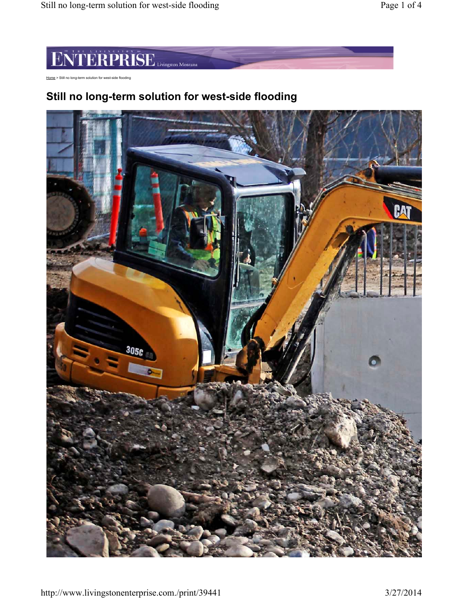# **TERPRISE** Livingston Montana H'I

Home > Still no long-term solution for west-side flooding

# **Still no long-term solution for west-side flooding**

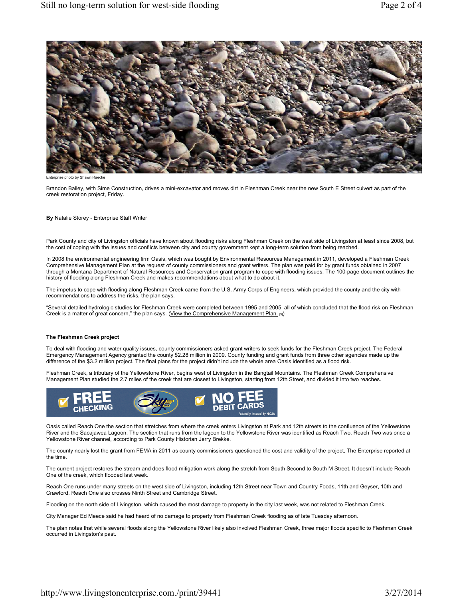

Enterprise photo by Shawn Raecke

Brandon Bailey, with Sime Construction, drives a mini-excavator and moves dirt in Fleshman Creek near the new South E Street culvert as part of the creek restoration project, Friday.

#### **By** Natalie Storey - Enterprise Staff Writer

Park County and city of Livingston officials have known about flooding risks along Fleshman Creek on the west side of Livingston at least since 2008, but the cost of coping with the issues and conflicts between city and county government kept a long-term solution from being reached.

In 2008 the environmental engineering firm Oasis, which was bought by Environmental Resources Management in 2011, developed a Fleshman Creek Comprehensive Management Plan at the request of county commissioners and grant writers. The plan was paid for by grant funds obtained in 2007 through a Montana Department of Natural Resources and Conservation grant program to cope with flooding issues. The 100-page document outlines the history of flooding along Fleshman Creek and makes recommendations about what to do about it.

The impetus to cope with flooding along Fleshman Creek came from the U.S. Army Corps of Engineers, which provided the county and the city with recommendations to address the risks, the plan says.

"Several detailed hydrologic studies for Fleshman Creek were completed between 1995 and 2005, all of which concluded that the flood risk on Fleshman Creek is a matter of great concern," the plan says. (View the Comprehensive Management Plan. [3])

## **The Fleshman Creek project**

To deal with flooding and water quality issues, county commissioners asked grant writers to seek funds for the Fleshman Creek project. The Federal Emergency Management Agency granted the county \$2.28 million in 2009. County funding and grant funds from three other agencies made up the difference of the \$3.2 million project. The final plans for the project didn't include the whole area Oasis identified as a flood risk.

Fleshman Creek, a tributary of the Yellowstone River, begins west of Livingston in the Bangtail Mountains. The Fleshman Creek Comprehensive Management Plan studied the 2.7 miles of the creek that are closest to Livingston, starting from 12th Street, and divided it into two reaches.



Oasis called Reach One the section that stretches from where the creek enters Livingston at Park and 12th streets to the confluence of the Yellowstone River and the Sacajawea Lagoon. The section that runs from the lagoon to the Yellowstone River was identified as Reach Two. Reach Two was once a Yellowstone River channel, according to Park County Historian Jerry Brekke.

The county nearly lost the grant from FEMA in 2011 as county commissioners questioned the cost and validity of the project, The Enterprise reported at the time.

The current project restores the stream and does flood mitigation work along the stretch from South Second to South M Street. It doesn't include Reach One of the creek, which flooded last week.

Reach One runs under many streets on the west side of Livingston, including 12th Street near Town and Country Foods, 11th and Geyser, 10th and Crawford. Reach One also crosses Ninth Street and Cambridge Street.

Flooding on the north side of Livingston, which caused the most damage to property in the city last week, was not related to Fleshman Creek.

City Manager Ed Meece said he had heard of no damage to property from Fleshman Creek flooding as of late Tuesday afternoon.

The plan notes that while several floods along the Yellowstone River likely also involved Fleshman Creek, three major floods specific to Fleshman Creek occurred in Livingston's past.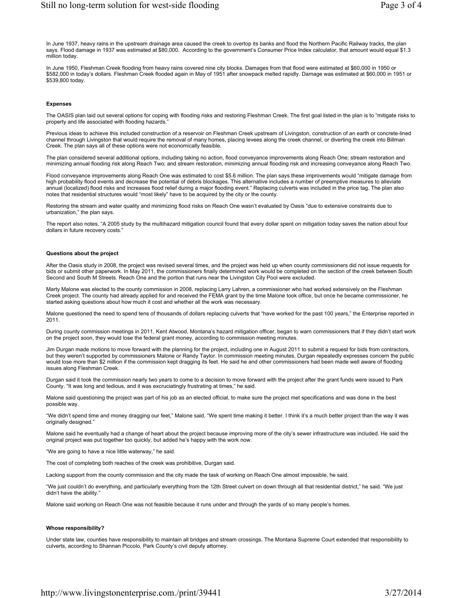In June 1937, heavy rains in the upstream drainage area caused the creek to overtop its banks and flood the Northern Pacific Railway tracks, the plan says. Flood damage in 1937 was estimated at \$80,000. According to the government's Consumer Price Index calculator, that amount would equal \$1.3 million today.

In June 1950, Fleshman Creek flooding from heavy rains covered nine city blocks. Damages from that flood were estimated at \$60,000 in 1950 or \$582,000 in today's dollars. Fleshman Creek flooded again in May of 1951 after snowpack melted rapidly. Damage was estimated at \$60,000 in 1951 or \$539,800 today.

#### **Expenses**

The OASIS plan laid out several options for coping with flooding risks and restoring Fleshman Creek. The first goal listed in the plan is to "mitigate risks to property and life associated with flooding hazards."

Previous ideas to achieve this included construction of a reservoir on Fleshman Creek upstream of Livingston, construction of an earth or concrete-lined channel through Livingston that would require the removal of many homes, placing levees along the creek channel, or diverting the creek into Billman Creek. The plan says all of these options were not economically feasible.

The plan considered several additional options, including taking no action, flood conveyance improvements along Reach One; stream restoration and minimizing annual flooding risk along Reach Two; and stream restoration, minimizing annual flooding risk and increasing conveyance along Reach Two.

Flood conveyance improvements along Reach One was estimated to cost \$5.6 million. The plan says these improvements would "mitigate damage from high probability flood events and decrease the potential of debris blockages. This alternative includes a number of preemptive measures to alleviate annual (localized) flood risks and increases flood relief during a major flooding event." Replacing culverts was included in the price tag. The plan also notes that residential structures would "most likely" have to be acquired by the city or the county.

Restoring the stream and water quality and minimizing flood risks on Reach One wasn't evaluated by Oasis "due to extensive constraints due to urbanization," the plan says.

The report also notes, "A 2005 study by the multihazard mitigation council found that every dollar spent on mitigation today saves the nation about four dollars in future recovery costs."

## **Questions about the project**

After the Oasis study in 2008, the project was revised several times, and the project was held up when county commissioners did not issue requests for bids or submit other paperwork. In May 2011, the commissioners finally determined work would be completed on the section of the creek between South Second and South M Streets. Reach One and the portion that runs near the Livingston City Pool were excluded.

Marty Malone was elected to the county commission in 2008, replacing Larry Lahren, a commissioner who had worked extensively on the Fleshman Creek project. The county had already applied for and received the FEMA grant by the time Malone took office, but once he became commissioner, he started asking questions about how much it cost and whether all the work was necessary.

Malone questioned the need to spend tens of thousands of dollars replacing culverts that "have worked for the past 100 years," the Enterprise reported in 2011.

During county commission meetings in 2011, Kent Atwood, Montana's hazard mitigation officer, began to warn commissioners that if they didn't start work on the project soon, they would lose the federal grant money, according to commission meeting minutes.

Jim Durgan made motions to move forward with the planning for the project, including one in August 2011 to submit a request for bids from contractors, but they weren't supported by commissioners Malone or Randy Taylor. In commission meeting minutes, Durgan repeatedly expresses concern the public would lose more than \$2 million if the commission kept dragging its feet. He said he and other commissioners had been made well aware of flooding issues along Fleshman Creek.

Durgan said it took the commission nearly two years to come to a decision to move forward with the project after the grant funds were issued to Park County. "It was long and tedious, and it was excruciatingly frustrating at times," he said.

Malone said questioning the project was part of his job as an elected official, to make sure the project met specifications and was done in the best possible way.

"We didn't spend time and money dragging our feet," Malone said. "We spent time making it better. I think it's a much better project than the way it was originally designed."

Malone said he eventually had a change of heart about the project because improving more of the city's sewer infrastructure was included. He said the original project was put together too quickly, but added he's happy with the work now.

"We are going to have a nice little waterway," he said.

The cost of completing both reaches of the creek was prohibitive, Durgan said.

Lacking support from the county commission and the city made the task of working on Reach One almost impossible, he said.

"We just couldn't do everything, and particularly everything from the 12th Street culvert on down through all that residential district," he said. "We just didn't have the ability

Malone said working on Reach One was not feasible because it runs under and through the yards of so many people's homes.

#### **Whose responsibility?**

Under state law, counties have responsibility to maintain all bridges and stream crossings. The Montana Supreme Court extended that responsibility to culverts, according to Shannan Piccolo, Park County's civil deputy attorney.